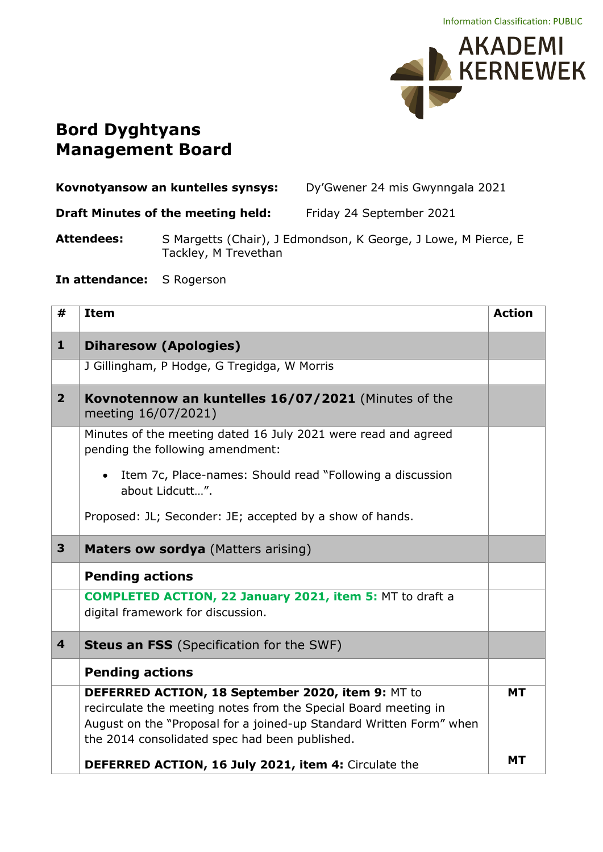

## **Bord Dyghtyans Management Board**

| Kovnotyansow an kuntelles synsys:  | Dy'Gwener 24 mis Gwynngala 2021 |
|------------------------------------|---------------------------------|
| Draft Minutes of the meeting held: | Friday 24 September 2021        |

Attendees: S Margetts (Chair), J Edmondson, K George, J Lowe, M Pierce, E Tackley, M Trevethan

**In attendance:** S Rogerson

| #                       | <b>Item</b>                                                                                                                                                                                                                                   | <b>Action</b> |
|-------------------------|-----------------------------------------------------------------------------------------------------------------------------------------------------------------------------------------------------------------------------------------------|---------------|
| $\mathbf{1}$            | <b>Diharesow (Apologies)</b>                                                                                                                                                                                                                  |               |
|                         | J Gillingham, P Hodge, G Tregidga, W Morris                                                                                                                                                                                                   |               |
| 2 <sup>1</sup>          | Kovnotennow an kuntelles 16/07/2021 (Minutes of the<br>meeting 16/07/2021)                                                                                                                                                                    |               |
|                         | Minutes of the meeting dated 16 July 2021 were read and agreed<br>pending the following amendment:                                                                                                                                            |               |
|                         | Item 7c, Place-names: Should read "Following a discussion<br>$\bullet$<br>about Lidcutt".                                                                                                                                                     |               |
|                         | Proposed: JL; Seconder: JE; accepted by a show of hands.                                                                                                                                                                                      |               |
| 3 <sup>1</sup>          | <b>Maters ow sordya</b> (Matters arising)                                                                                                                                                                                                     |               |
|                         | <b>Pending actions</b>                                                                                                                                                                                                                        |               |
|                         | <b>COMPLETED ACTION, 22 January 2021, item 5: MT to draft a</b><br>digital framework for discussion.                                                                                                                                          |               |
| $\overline{\mathbf{4}}$ | <b>Steus an FSS</b> (Specification for the SWF)                                                                                                                                                                                               |               |
|                         | <b>Pending actions</b>                                                                                                                                                                                                                        |               |
|                         | DEFERRED ACTION, 18 September 2020, item 9: MT to<br>recirculate the meeting notes from the Special Board meeting in<br>August on the "Proposal for a joined-up Standard Written Form" when<br>the 2014 consolidated spec had been published. | <b>MT</b>     |
|                         | DEFERRED ACTION, 16 July 2021, item 4: Circulate the                                                                                                                                                                                          | <b>MT</b>     |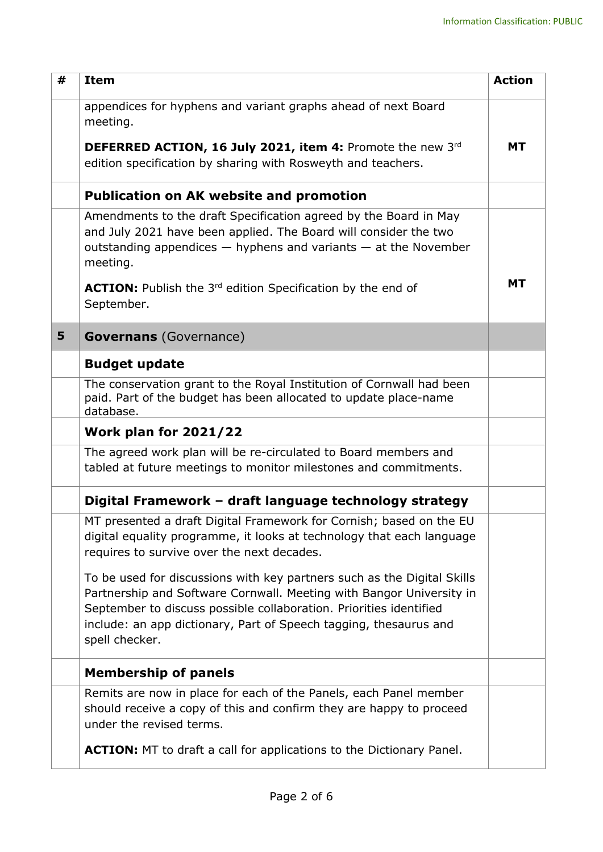| # | <b>Item</b>                                                                                                                                                                                                                                                                                                  | <b>Action</b> |
|---|--------------------------------------------------------------------------------------------------------------------------------------------------------------------------------------------------------------------------------------------------------------------------------------------------------------|---------------|
|   | appendices for hyphens and variant graphs ahead of next Board<br>meeting.                                                                                                                                                                                                                                    |               |
|   | DEFERRED ACTION, 16 July 2021, item 4: Promote the new 3rd<br>edition specification by sharing with Rosweyth and teachers.                                                                                                                                                                                   | <b>MT</b>     |
|   | <b>Publication on AK website and promotion</b>                                                                                                                                                                                                                                                               |               |
|   | Amendments to the draft Specification agreed by the Board in May<br>and July 2021 have been applied. The Board will consider the two<br>outstanding appendices $-$ hyphens and variants $-$ at the November<br>meeting.                                                                                      |               |
|   | <b>ACTION:</b> Publish the 3 <sup>rd</sup> edition Specification by the end of<br>September.                                                                                                                                                                                                                 | <b>MT</b>     |
| 5 | <b>Governans</b> (Governance)                                                                                                                                                                                                                                                                                |               |
|   | <b>Budget update</b>                                                                                                                                                                                                                                                                                         |               |
|   | The conservation grant to the Royal Institution of Cornwall had been<br>paid. Part of the budget has been allocated to update place-name<br>database.                                                                                                                                                        |               |
|   | <b>Work plan for 2021/22</b>                                                                                                                                                                                                                                                                                 |               |
|   | The agreed work plan will be re-circulated to Board members and<br>tabled at future meetings to monitor milestones and commitments.                                                                                                                                                                          |               |
|   | Digital Framework - draft language technology strategy                                                                                                                                                                                                                                                       |               |
|   | MT presented a draft Digital Framework for Cornish; based on the EU<br>digital equality programme, it looks at technology that each language<br>requires to survive over the next decades.                                                                                                                   |               |
|   | To be used for discussions with key partners such as the Digital Skills<br>Partnership and Software Cornwall. Meeting with Bangor University in<br>September to discuss possible collaboration. Priorities identified<br>include: an app dictionary, Part of Speech tagging, thesaurus and<br>spell checker. |               |
|   | <b>Membership of panels</b>                                                                                                                                                                                                                                                                                  |               |
|   | Remits are now in place for each of the Panels, each Panel member<br>should receive a copy of this and confirm they are happy to proceed<br>under the revised terms.                                                                                                                                         |               |
|   | <b>ACTION:</b> MT to draft a call for applications to the Dictionary Panel.                                                                                                                                                                                                                                  |               |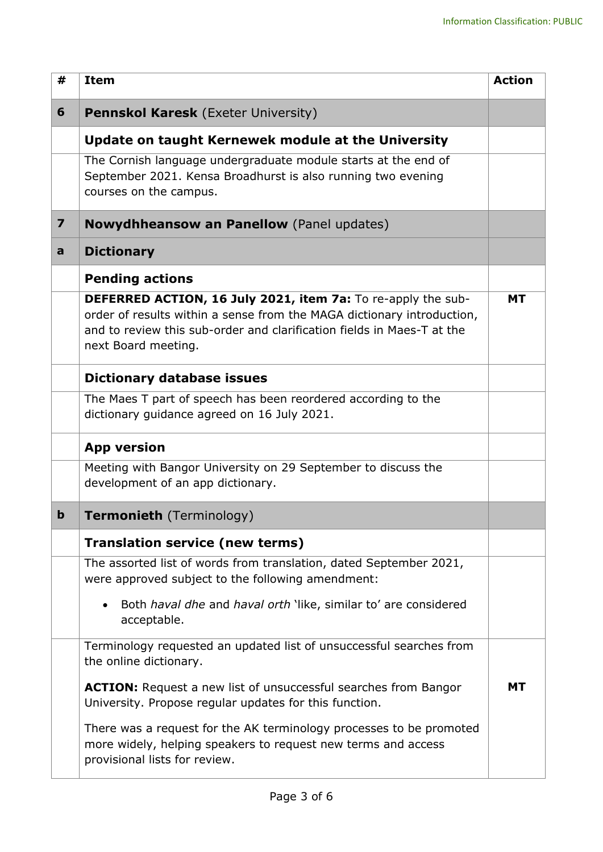| #                       | <b>Item</b>                                                                                                                                                                                                                                                       | <b>Action</b> |
|-------------------------|-------------------------------------------------------------------------------------------------------------------------------------------------------------------------------------------------------------------------------------------------------------------|---------------|
| 6                       | <b>Pennskol Karesk</b> (Exeter University)                                                                                                                                                                                                                        |               |
|                         | Update on taught Kernewek module at the University                                                                                                                                                                                                                |               |
|                         | The Cornish language undergraduate module starts at the end of<br>September 2021. Kensa Broadhurst is also running two evening<br>courses on the campus.                                                                                                          |               |
| $\overline{\mathbf{z}}$ | <b>Nowydhheansow an Panellow</b> (Panel updates)                                                                                                                                                                                                                  |               |
| a                       | <b>Dictionary</b>                                                                                                                                                                                                                                                 |               |
|                         | <b>Pending actions</b><br>DEFERRED ACTION, 16 July 2021, item 7a: To re-apply the sub-<br>order of results within a sense from the MAGA dictionary introduction,<br>and to review this sub-order and clarification fields in Maes-T at the<br>next Board meeting. | <b>MT</b>     |
|                         | Dictionary database issues                                                                                                                                                                                                                                        |               |
|                         | The Maes T part of speech has been reordered according to the<br>dictionary guidance agreed on 16 July 2021.                                                                                                                                                      |               |
|                         | <b>App version</b>                                                                                                                                                                                                                                                |               |
|                         | Meeting with Bangor University on 29 September to discuss the<br>development of an app dictionary.                                                                                                                                                                |               |
| $\mathbf b$             | <b>Termonieth</b> (Terminology)                                                                                                                                                                                                                                   |               |
|                         | <b>Translation service (new terms)</b>                                                                                                                                                                                                                            |               |
|                         | The assorted list of words from translation, dated September 2021,<br>were approved subject to the following amendment:                                                                                                                                           |               |
|                         | Both haval dhe and haval orth 'like, similar to' are considered<br>$\bullet$<br>acceptable.                                                                                                                                                                       |               |
|                         | Terminology requested an updated list of unsuccessful searches from<br>the online dictionary.                                                                                                                                                                     |               |
|                         | <b>ACTION:</b> Request a new list of unsuccessful searches from Bangor<br>University. Propose regular updates for this function.                                                                                                                                  | <b>MT</b>     |
|                         | There was a request for the AK terminology processes to be promoted<br>more widely, helping speakers to request new terms and access<br>provisional lists for review.                                                                                             |               |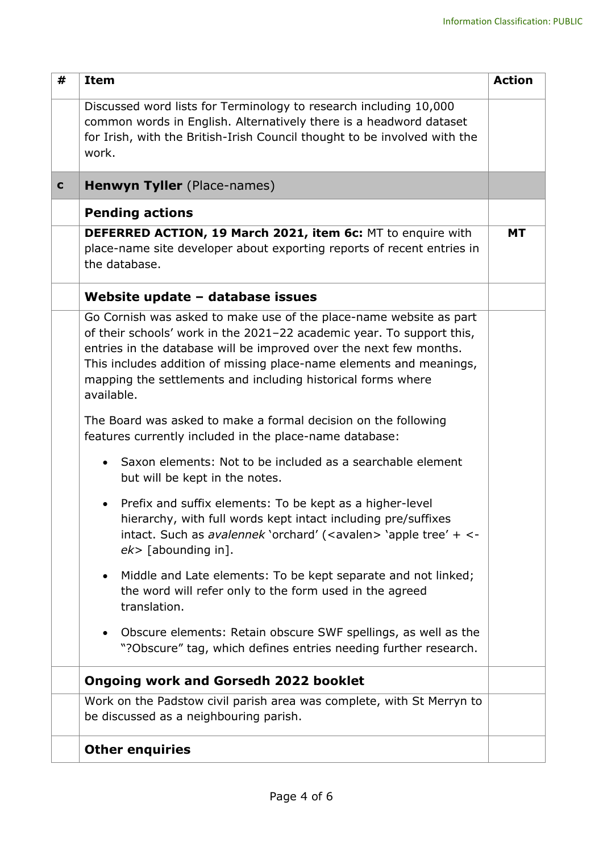| #           | <b>Item</b>                                                                                                                                                                                                                                                                                                                                                            | <b>Action</b> |
|-------------|------------------------------------------------------------------------------------------------------------------------------------------------------------------------------------------------------------------------------------------------------------------------------------------------------------------------------------------------------------------------|---------------|
|             | Discussed word lists for Terminology to research including 10,000<br>common words in English. Alternatively there is a headword dataset<br>for Irish, with the British-Irish Council thought to be involved with the<br>work.                                                                                                                                          |               |
| $\mathbf c$ | <b>Henwyn Tyller</b> (Place-names)                                                                                                                                                                                                                                                                                                                                     |               |
|             | <b>Pending actions</b>                                                                                                                                                                                                                                                                                                                                                 |               |
|             | DEFERRED ACTION, 19 March 2021, item 6c: MT to enquire with<br>place-name site developer about exporting reports of recent entries in<br>the database.                                                                                                                                                                                                                 | <b>MT</b>     |
|             | Website update - database issues                                                                                                                                                                                                                                                                                                                                       |               |
|             | Go Cornish was asked to make use of the place-name website as part<br>of their schools' work in the 2021-22 academic year. To support this,<br>entries in the database will be improved over the next few months.<br>This includes addition of missing place-name elements and meanings,<br>mapping the settlements and including historical forms where<br>available. |               |
|             | The Board was asked to make a formal decision on the following<br>features currently included in the place-name database:                                                                                                                                                                                                                                              |               |
|             | Saxon elements: Not to be included as a searchable element<br>$\bullet$<br>but will be kept in the notes.                                                                                                                                                                                                                                                              |               |
|             | Prefix and suffix elements: To be kept as a higher-level<br>$\bullet$<br>hierarchy, with full words kept intact including pre/suffixes<br>intact. Such as avalennek 'orchard' ( <avalen> 'apple tree' + &lt;-<br/><math>ek</math> [abounding in].</avalen>                                                                                                             |               |
|             | Middle and Late elements: To be kept separate and not linked;<br>$\bullet$<br>the word will refer only to the form used in the agreed<br>translation.                                                                                                                                                                                                                  |               |
|             | Obscure elements: Retain obscure SWF spellings, as well as the<br>$\bullet$<br>"?Obscure" tag, which defines entries needing further research.                                                                                                                                                                                                                         |               |
|             | <b>Ongoing work and Gorsedh 2022 booklet</b>                                                                                                                                                                                                                                                                                                                           |               |
|             | Work on the Padstow civil parish area was complete, with St Merryn to<br>be discussed as a neighbouring parish.                                                                                                                                                                                                                                                        |               |
|             | <b>Other enquiries</b>                                                                                                                                                                                                                                                                                                                                                 |               |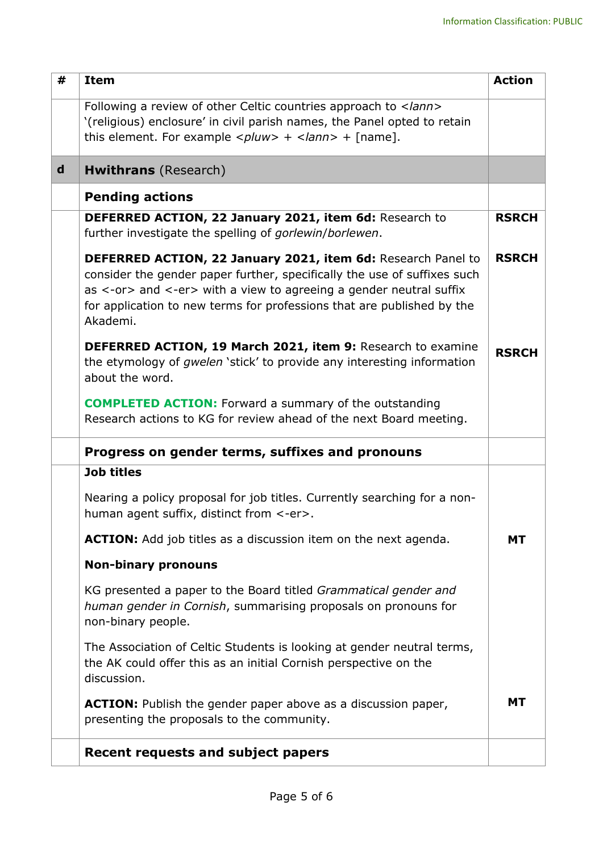| #           | <b>Item</b>                                                                                                                                                                                                                                                                                          | <b>Action</b> |
|-------------|------------------------------------------------------------------------------------------------------------------------------------------------------------------------------------------------------------------------------------------------------------------------------------------------------|---------------|
|             | Following a review of other Celtic countries approach to<br>'(religious) enclosure' in civil parish names, the Panel opted to retain<br>this element. For example $\langle$ <i>pluw&gt;</i> + $\langle$ <i>lann&gt;</i> + [name].                                                                    |               |
| $\mathbf d$ | <b>Hwithrans</b> (Research)                                                                                                                                                                                                                                                                          |               |
|             | <b>Pending actions</b>                                                                                                                                                                                                                                                                               |               |
|             | DEFERRED ACTION, 22 January 2021, item 6d: Research to<br>further investigate the spelling of gorlewin/borlewen.                                                                                                                                                                                     | <b>RSRCH</b>  |
|             | DEFERRED ACTION, 22 January 2021, item 6d: Research Panel to<br>consider the gender paper further, specifically the use of suffixes such<br>as <-or> and <-er> with a view to agreeing a gender neutral suffix<br>for application to new terms for professions that are published by the<br>Akademi. | <b>RSRCH</b>  |
|             | <b>DEFERRED ACTION, 19 March 2021, item 9: Research to examine</b><br>the etymology of <i>gwelen</i> 'stick' to provide any interesting information<br>about the word.                                                                                                                               | <b>RSRCH</b>  |
|             | <b>COMPLETED ACTION:</b> Forward a summary of the outstanding<br>Research actions to KG for review ahead of the next Board meeting.                                                                                                                                                                  |               |
|             | Progress on gender terms, suffixes and pronouns                                                                                                                                                                                                                                                      |               |
|             | <b>Job titles</b>                                                                                                                                                                                                                                                                                    |               |
|             | Nearing a policy proposal for job titles. Currently searching for a non-<br>human agent suffix, distinct from <-er>.                                                                                                                                                                                 |               |
|             | <b>ACTION:</b> Add job titles as a discussion item on the next agenda.                                                                                                                                                                                                                               | <b>MT</b>     |
|             | <b>Non-binary pronouns</b>                                                                                                                                                                                                                                                                           |               |
|             | KG presented a paper to the Board titled Grammatical gender and<br>human gender in Cornish, summarising proposals on pronouns for<br>non-binary people.                                                                                                                                              |               |
|             | The Association of Celtic Students is looking at gender neutral terms,<br>the AK could offer this as an initial Cornish perspective on the<br>discussion.                                                                                                                                            |               |
|             | <b>ACTION:</b> Publish the gender paper above as a discussion paper,<br>presenting the proposals to the community.                                                                                                                                                                                   | <b>MT</b>     |
|             | <b>Recent requests and subject papers</b>                                                                                                                                                                                                                                                            |               |